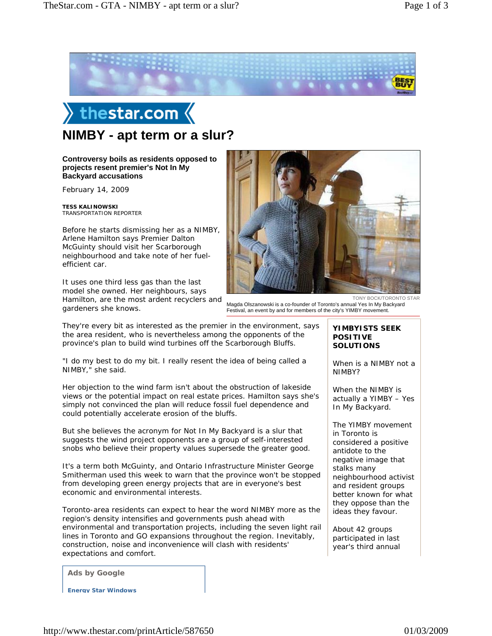





**Controversy boils as residents opposed to projects resent premier's Not In My** 

**Backyard accusations**

February 14, 2009

**TESS KALINOWSKI** TRANSPORTATION REPORTER

Before he starts dismissing her as a NIMBY, Arlene Hamilton says Premier Dalton McGuinty should visit her Scarborough neighbourhood and take note of her fuelefficient car.

It uses one third less gas than the last model she owned. Her neighbours, says Hamilton, are the most ardent recyclers and gardeners she knows.

TONY BOCK/TORONTO STAR Magda Olszanowski is a co-founder of Toronto's annual Yes In My Backyard Festival, an event by and for members of the city's YIMBY movement.

They're every bit as interested as the premier in the environment, says the area resident, who is nevertheless among the opponents of the province's plan to build wind turbines off the Scarborough Bluffs.

"I do my best to do my bit. I really resent the idea of being called a NIMBY," she said.

Her objection to the wind farm isn't about the obstruction of lakeside views or the potential impact on real estate prices. Hamilton says she's simply not convinced the plan will reduce fossil fuel dependence and could potentially accelerate erosion of the bluffs.

But she believes the acronym for Not In My Backyard is a slur that suggests the wind project opponents are a group of self-interested snobs who believe their property values supersede the greater good.

It's a term both McGuinty, and Ontario Infrastructure Minister George Smitherman used this week to warn that the province won't be stopped from developing green energy projects that are in everyone's best economic and environmental interests.

Toronto-area residents can expect to hear the word NIMBY more as the region's density intensifies and governments push ahead with environmental and transportation projects, including the seven light rail lines in Toronto and GO expansions throughout the region. Inevitably, construction, noise and inconvenience will clash with residents' expectations and comfort.

**Ads by Google**

**Energy Star Windows**

**YIMBYISTS SEEK POSITIVE SOLUTIONS**

When is a NIMBY not a NIMBY?

When the NIMBY is actually a YIMBY – Yes In My Backyard.

The YIMBY movement in Toronto is considered a positive antidote to the negative image that stalks many neighbourhood activist and resident groups better known for what they oppose than the ideas they favour.

About 42 groups participated in last year's third annual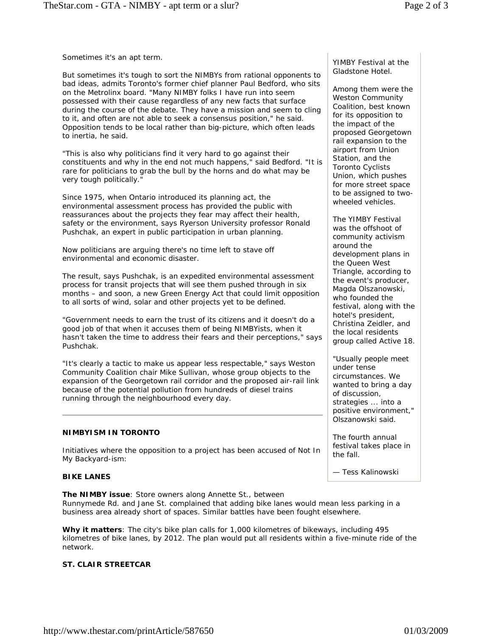Sometimes it's an apt term.

But sometimes it's tough to sort the NIMBYs from rational opponents to bad ideas, admits Toronto's former chief planner Paul Bedford, who sits on the Metrolinx board. "Many NIMBY folks I have run into seem possessed with their cause regardless of any new facts that surface during the course of the debate. They have a mission and seem to cling to it, and often are not able to seek a consensus position," he said. Opposition tends to be local rather than big-picture, which often leads to inertia, he said.

"This is also why politicians find it very hard to go against their constituents and why in the end not much happens," said Bedford. "It is rare for politicians to grab the bull by the horns and do what may be very tough politically."

Since 1975, when Ontario introduced its planning act, the environmental assessment process has provided the public with reassurances about the projects they fear may affect their health, safety or the environment, says Ryerson University professor Ronald Pushchak, an expert in public participation in urban planning.

Now politicians are arguing there's no time left to stave off environmental and economic disaster.

The result, says Pushchak, is an expedited environmental assessment process for transit projects that will see them pushed through in six months – and soon, a new Green Energy Act that could limit opposition to all sorts of wind, solar and other projects yet to be defined.

"Government needs to earn the trust of its citizens and it doesn't do a good job of that when it accuses them of being NIMBYists, when it hasn't taken the time to address their fears and their perceptions," says Pushchak.

"It's clearly a tactic to make us appear less respectable," says Weston Community Coalition chair Mike Sullivan, whose group objects to the expansion of the Georgetown rail corridor and the proposed air-rail link because of the potential pollution from hundreds of diesel trains running through the neighbourhood every day.

# **NIMBYISM IN TORONTO**

*Initiatives where the opposition to a project has been accused of Not In My Backyard-ism:*

# **BIKE LANES**

**The NIMBY issue**: Store owners along Annette St., between Runnymede Rd. and Jane St. complained that adding bike lanes would mean less parking in a business area already short of spaces. Similar battles have been fought elsewhere.

**Why it matters**: The city's bike plan calls for 1,000 kilometres of bikeways, including 495 kilometres of bike lanes, by 2012. The plan would put all residents within a five-minute ride of the network.

# **ST. CLAIR STREETCAR**

YIMBY Festival at the Gladstone Hotel.

Among them were the Weston Community Coalition, best known for its opposition to the impact of the proposed Georgetown rail expansion to the airport from Union Station, and the Toronto Cyclists Union, which pushes for more street space to be assigned to twowheeled vehicles.

The YIMBY Festival was the offshoot of community activism around the development plans in the Queen West Triangle, according to the event's producer, Magda Olszanowski, who founded the festival, along with the hotel's president, Christina Zeidler, and the local residents group called Active 18.

"Usually people meet under tense circumstances. We wanted to bring a day of discussion, strategies ... into a positive environment," Olszanowski said.

The fourth annual festival takes place in the fall.

*— Tess Kalinowski*